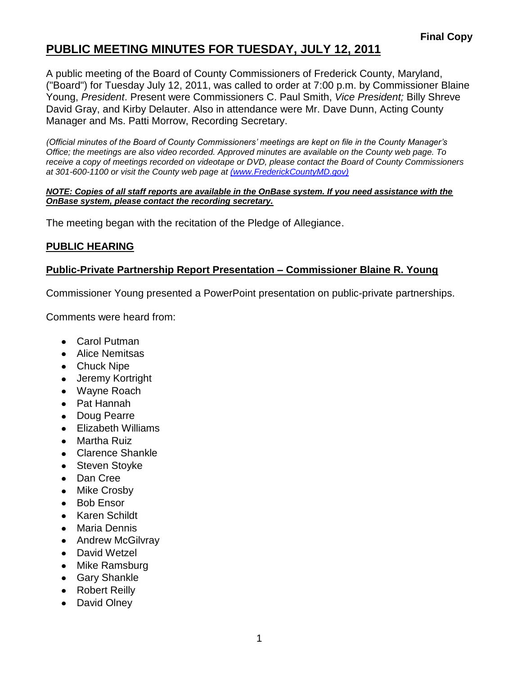# **PUBLIC MEETING MINUTES FOR TUESDAY, JULY 12, 2011**

A public meeting of the Board of County Commissioners of Frederick County, Maryland, ("Board") for Tuesday July 12, 2011, was called to order at 7:00 p.m. by Commissioner Blaine Young, *President*. Present were Commissioners C. Paul Smith, *Vice President;* Billy Shreve David Gray, and Kirby Delauter. Also in attendance were Mr. Dave Dunn, Acting County Manager and Ms. Patti Morrow, Recording Secretary.

*(Official minutes of the Board of County Commissioners' meetings are kept on file in the County Manager's Office; the meetings are also video recorded. Approved minutes are available on the County web page. To receive a copy of meetings recorded on videotape or DVD, please contact the Board of County Commissioners at 301-600-1100 or visit the County web page at [\(www.FrederickCountyMD.gov\)](file://NT1S5/BOCC/BOCC/BOCC%20Minutes/Patti)*

#### *NOTE: Copies of all staff reports are available in the OnBase system. If you need assistance with the OnBase system, please contact the recording secretary.*

The meeting began with the recitation of the Pledge of Allegiance.

### **PUBLIC HEARING**

### **Public-Private Partnership Report Presentation – Commissioner Blaine R. Young**

Commissioner Young presented a PowerPoint presentation on public-private partnerships.

Comments were heard from:

- Carol Putman
- Alice Nemitsas
- Chuck Nipe
- Jeremy Kortright
- Wayne Roach
- Pat Hannah
- Doug Pearre
- Elizabeth Williams  $\bullet$
- Martha Ruiz
- Clarence Shankle
- Steven Stoyke
- Dan Cree
- Mike Crosby  $\bullet$
- Bob Ensor
- Karen Schildt
- Maria Dennis
- Andrew McGilvray
- David Wetzel
- Mike Ramsburg
- Gary Shankle
- Robert Reilly
- David Olney